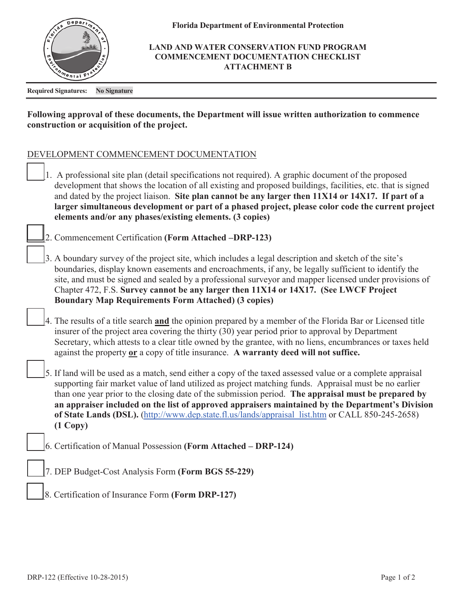

**Florida Department of Environmental Protection**

## **LAND AND WATER CONSERVATION FUND PROGRAM COMMENCEMENT DOCUMENTATION CHECKLIST ATTACHMENT B**

**Required Signatures: No Signature** 

## **Following approval of these documents, the Department will issue written authorization to commence construction or acquisition of the project.**

## DEVELOPMENT COMMENCEMENT DOCUMENTATION

|  | 1. A professional site plan (detail specifications not required). A graphic document of the proposed<br>development that shows the location of all existing and proposed buildings, facilities, etc. that is signed<br>and dated by the project liaison. Site plan cannot be any larger then 11X14 or 14X17. If part of a<br>larger simultaneous development or part of a phased project, please color code the current project<br>elements and/or any phases/existing elements. (3 copies)                                                              |
|--|----------------------------------------------------------------------------------------------------------------------------------------------------------------------------------------------------------------------------------------------------------------------------------------------------------------------------------------------------------------------------------------------------------------------------------------------------------------------------------------------------------------------------------------------------------|
|  | 2. Commencement Certification (Form Attached -DRP-123)                                                                                                                                                                                                                                                                                                                                                                                                                                                                                                   |
|  | 3. A boundary survey of the project site, which includes a legal description and sketch of the site's<br>boundaries, display known easements and encroachments, if any, be legally sufficient to identify the<br>site, and must be signed and sealed by a professional surveyor and mapper licensed under provisions of<br>Chapter 472, F.S. Survey cannot be any larger then 11X14 or 14X17. (See LWCF Project<br><b>Boundary Map Requirements Form Attached) (3 copies)</b>                                                                            |
|  | 4. The results of a title search and the opinion prepared by a member of the Florida Bar or Licensed title<br>insurer of the project area covering the thirty (30) year period prior to approval by Department<br>Secretary, which attests to a clear title owned by the grantee, with no liens, encumbrances or taxes held<br>against the property or a copy of title insurance. A warranty deed will not suffice.                                                                                                                                      |
|  | 5. If land will be used as a match, send either a copy of the taxed assessed value or a complete appraisal<br>supporting fair market value of land utilized as project matching funds. Appraisal must be no earlier<br>than one year prior to the closing date of the submission period. The appraisal must be prepared by<br>an appraiser included on the list of approved appraisers maintained by the Department's Division<br>of State Lands (DSL). (http://www.dep.state.fl.us/lands/appraisal list.htm or CALL 850-245-2658)<br>$(1 \text{ Copy})$ |
|  | 6. Certification of Manual Possession (Form Attached - DRP-124)                                                                                                                                                                                                                                                                                                                                                                                                                                                                                          |
|  | 7. DEP Budget-Cost Analysis Form (Form BGS 55-229)                                                                                                                                                                                                                                                                                                                                                                                                                                                                                                       |
|  | 8. Certification of Insurance Form (Form DRP-127)                                                                                                                                                                                                                                                                                                                                                                                                                                                                                                        |